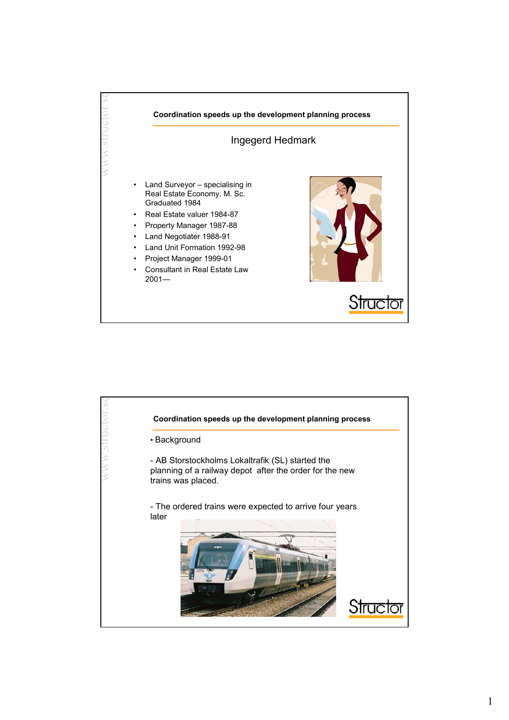

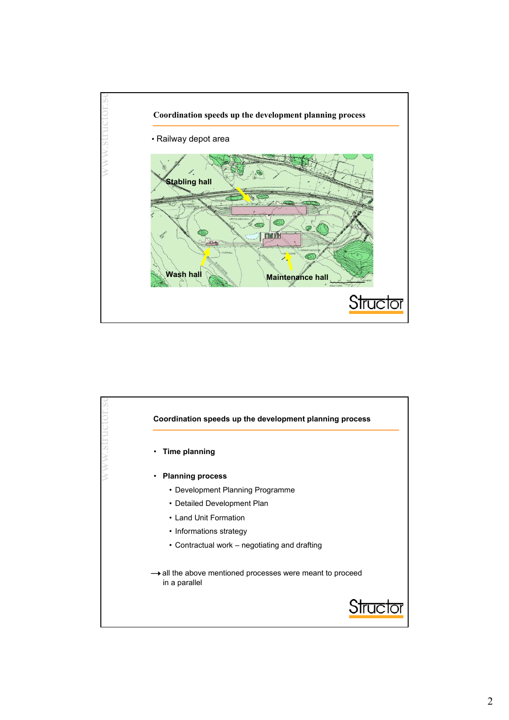

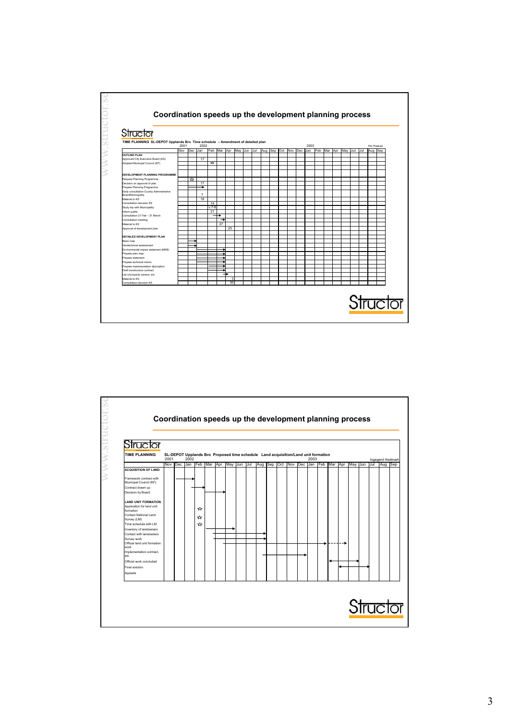

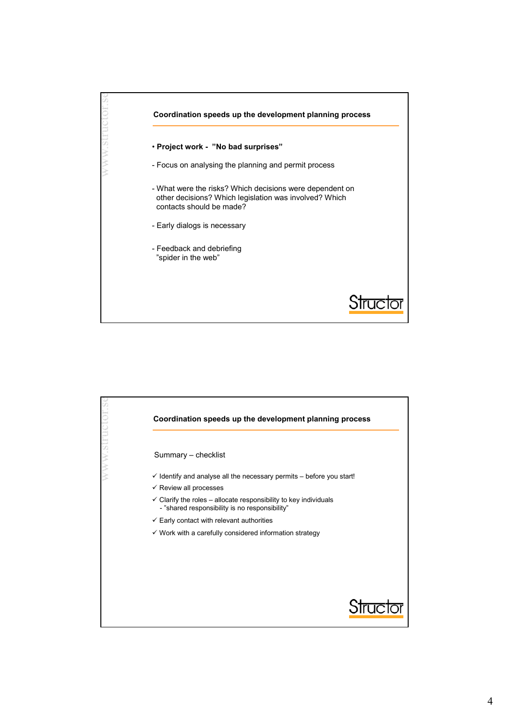